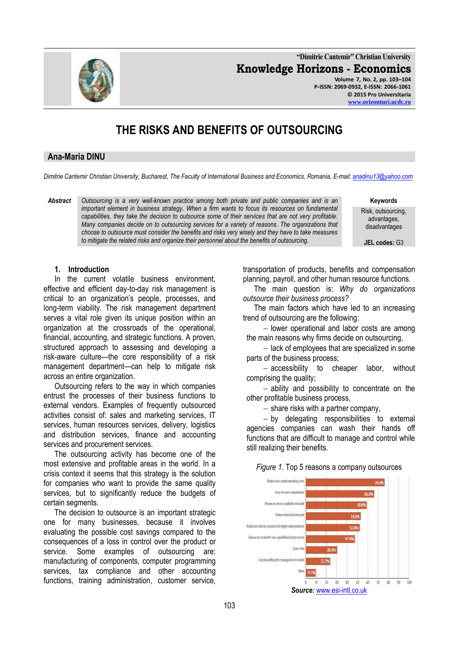**"Dimitrie Cantemir" Christian University Knowledge Horizons - Economics Volume 7, No. 2, pp. 103–104 P-ISSN: 2069-0932, E-ISSN: 2066-1061 © 2015 Pro Universitaria**

# **THE RISKS AND BENEFITS OF OUTSOURCING**

## **Ana-Maria DINU**

*Dimitrie Cantemir Christian University, Bucharest, The Faculty of International Business and Economics, Romania, E-mail[: anadinu13@yahoo.com](mailto:anadinu13@yahoo.com)*

*Abstract Outsourcing is a very well-known practice among both private and public companies and is an important element in business strategy. When a firm wants to focus its resources on fundamental capabilities, they take the decision to outsource some of their services that are not very profitable. Many companies decide on to outsourcing services for a variety of reasons. The organizations that choose to outsource must consider the benefits and risks very wisely and they have to take measures to mitigate the related risks and organize their personnel about the benefits of outsourcing.*

**Keywords**

Risk, outsourcing, advantages, disadvantages

**JEL codes:** G3

## **1. Introduction**

In the current volatile business environment, effective and efficient day-to-day risk management is critical to an organization's people, processes, and long-term viability. The risk management department serves a vital role given its unique position within an organization at the crossroads of the operational, financial, accounting, and strategic functions. A proven, structured approach to assessing and developing a risk-aware culture—the core responsibility of a risk management department—can help to mitigate risk across an entire organization.

Outsourcing refers to the way in which companies entrust the processes of their business functions to external vendors. Examples of frequently outsourced activities consist of: sales and marketing services, IT services, human resources services, delivery, logistics and distribution services, finance and accounting services and procurement services.

The outsourcing activity has become one of the most extensive and profitable areas in the world. In a crisis context it seems that this strategy is the solution for companies who want to provide the same quality services, but to significantly reduce the budgets of certain segments.

The decision to outsource is an important strategic one for many businesses, because it involves evaluating the possible cost savings compared to the consequences of a loss in control over the product or service. Some examples of outsourcing are: manufacturing of components, computer programming services, tax compliance and other accounting functions, training administration, customer service,

transportation of products, benefits and compensation planning, payroll, and other human resource functions.

The main question is: *Why do organizations outsource their business process?*

The main factors which have led to an increasing trend of outsourcing are the following:

- lower operational and labor costs are among the main reasons why firms decide on outsourcing,

 $-$  lack of employees that are specialized in some parts of the business process;

- accessibility to cheaper labor, without comprising the quality;

 $-$  ability and possibility to concentrate on the other profitable business process,

 $-$  share risks with a partner company,

 by delegating responsibilities to external agencies companies can wash their hands off functions that are difficult to manage and control while still realizing their benefits.